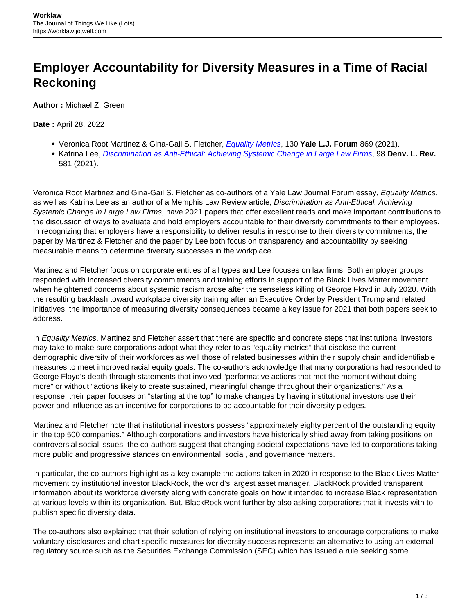## **Employer Accountability for Diversity Measures in a Time of Racial Reckoning**

**Author :** Michael Z. Green

**Date :** April 28, 2022

- Veronica Root Martinez & Gina-Gail S. Fletcher, [Equality Metrics](https://www.yalelawjournal.org/pdf/FletcherMartinezEssay_8vxh887p.pdf), 130 **Yale L.J. Forum** 869 (2021).
- **Katrina Lee, [Discrimination as Anti-Ethical: Achieving Systemic Change in Large Law Firms](https://static1.squarespace.com/static/5cb79f7efd6793296c0eb738/t/60d3df7995bb8a39aa37dac6/1624498042592/Vol.98_Issue3_Lee_APPROVED.pdf), 98 Denv. L. Rev.** 581 (2021).

Veronica Root Martinez and Gina-Gail S. Fletcher as co-authors of a Yale Law Journal Forum essay, Equality Metrics, as well as Katrina Lee as an author of a Memphis Law Review article, Discrimination as Anti-Ethical: Achieving Systemic Change in Large Law Firms, have 2021 papers that offer excellent reads and make important contributions to the discussion of ways to evaluate and hold employers accountable for their diversity commitments to their employees. In recognizing that employers have a responsibility to deliver results in response to their diversity commitments, the paper by Martinez & Fletcher and the paper by Lee both focus on transparency and accountability by seeking measurable means to determine diversity successes in the workplace.

Martinez and Fletcher focus on corporate entities of all types and Lee focuses on law firms. Both employer groups responded with increased diversity commitments and training efforts in support of the Black Lives Matter movement when heightened concerns about systemic racism arose after the senseless killing of George Floyd in July 2020. With the resulting backlash toward workplace diversity training after an Executive Order by President Trump and related initiatives, the importance of measuring diversity consequences became a key issue for 2021 that both papers seek to address.

In Equality Metrics, Martinez and Fletcher assert that there are specific and concrete steps that institutional investors may take to make sure corporations adopt what they refer to as "equality metrics" that disclose the current demographic diversity of their workforces as well those of related businesses within their supply chain and identifiable measures to meet improved racial equity goals. The co-authors acknowledge that many corporations had responded to George Floyd's death through statements that involved "performative actions that met the moment without doing more" or without "actions likely to create sustained, meaningful change throughout their organizations." As a response, their paper focuses on "starting at the top" to make changes by having institutional investors use their power and influence as an incentive for corporations to be accountable for their diversity pledges.

Martinez and Fletcher note that institutional investors possess "approximately eighty percent of the outstanding equity in the top 500 companies." Although corporations and investors have historically shied away from taking positions on controversial social issues, the co-authors suggest that changing societal expectations have led to corporations taking more public and progressive stances on environmental, social, and governance matters.

In particular, the co-authors highlight as a key example the actions taken in 2020 in response to the Black Lives Matter movement by institutional investor BlackRock, the world's largest asset manager. BlackRock provided transparent information about its workforce diversity along with concrete goals on how it intended to increase Black representation at various levels within its organization. But, BlackRock went further by also asking corporations that it invests with to publish specific diversity data.

The co-authors also explained that their solution of relying on institutional investors to encourage corporations to make voluntary disclosures and chart specific measures for diversity success represents an alternative to using an external regulatory source such as the Securities Exchange Commission (SEC) which has issued a rule seeking some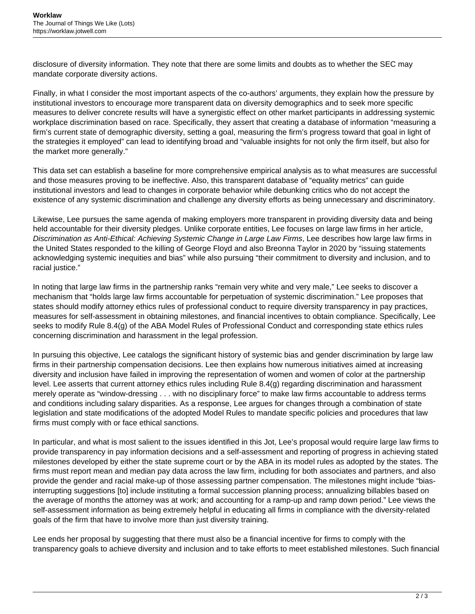disclosure of diversity information. They note that there are some limits and doubts as to whether the SEC may mandate corporate diversity actions.

Finally, in what I consider the most important aspects of the co-authors' arguments, they explain how the pressure by institutional investors to encourage more transparent data on diversity demographics and to seek more specific measures to deliver concrete results will have a synergistic effect on other market participants in addressing systemic workplace discrimination based on race. Specifically, they assert that creating a database of information "measuring a firm's current state of demographic diversity, setting a goal, measuring the firm's progress toward that goal in light of the strategies it employed" can lead to identifying broad and "valuable insights for not only the firm itself, but also for the market more generally."

This data set can establish a baseline for more comprehensive empirical analysis as to what measures are successful and those measures proving to be ineffective. Also, this transparent database of "equality metrics" can guide institutional investors and lead to changes in corporate behavior while debunking critics who do not accept the existence of any systemic discrimination and challenge any diversity efforts as being unnecessary and discriminatory.

Likewise, Lee pursues the same agenda of making employers more transparent in providing diversity data and being held accountable for their diversity pledges. Unlike corporate entities, Lee focuses on large law firms in her article, Discrimination as Anti-Ethical: Achieving Systemic Change in Large Law Firms, Lee describes how large law firms in the United States responded to the killing of George Floyd and also Breonna Taylor in 2020 by "issuing statements acknowledging systemic inequities and bias" while also pursuing "their commitment to diversity and inclusion, and to racial justice."

In noting that large law firms in the partnership ranks "remain very white and very male," Lee seeks to discover a mechanism that "holds large law firms accountable for perpetuation of systemic discrimination." Lee proposes that states should modify attorney ethics rules of professional conduct to require diversity transparency in pay practices, measures for self-assessment in obtaining milestones, and financial incentives to obtain compliance. Specifically, Lee seeks to modify Rule 8.4(g) of the ABA Model Rules of Professional Conduct and corresponding state ethics rules concerning discrimination and harassment in the legal profession.

In pursuing this objective, Lee catalogs the significant history of systemic bias and gender discrimination by large law firms in their partnership compensation decisions. Lee then explains how numerous initiatives aimed at increasing diversity and inclusion have failed in improving the representation of women and women of color at the partnership level. Lee asserts that current attorney ethics rules including Rule 8.4(g) regarding discrimination and harassment merely operate as "window-dressing . . . with no disciplinary force" to make law firms accountable to address terms and conditions including salary disparities. As a response, Lee argues for changes through a combination of state legislation and state modifications of the adopted Model Rules to mandate specific policies and procedures that law firms must comply with or face ethical sanctions.

In particular, and what is most salient to the issues identified in this Jot, Lee's proposal would require large law firms to provide transparency in pay information decisions and a self-assessment and reporting of progress in achieving stated milestones developed by either the state supreme court or by the ABA in its model rules as adopted by the states. The firms must report mean and median pay data across the law firm, including for both associates and partners, and also provide the gender and racial make-up of those assessing partner compensation. The milestones might include "biasinterrupting suggestions [to] include instituting a formal succession planning process; annualizing billables based on the average of months the attorney was at work; and accounting for a ramp-up and ramp down period." Lee views the self-assessment information as being extremely helpful in educating all firms in compliance with the diversity-related goals of the firm that have to involve more than just diversity training.

Lee ends her proposal by suggesting that there must also be a financial incentive for firms to comply with the transparency goals to achieve diversity and inclusion and to take efforts to meet established milestones. Such financial